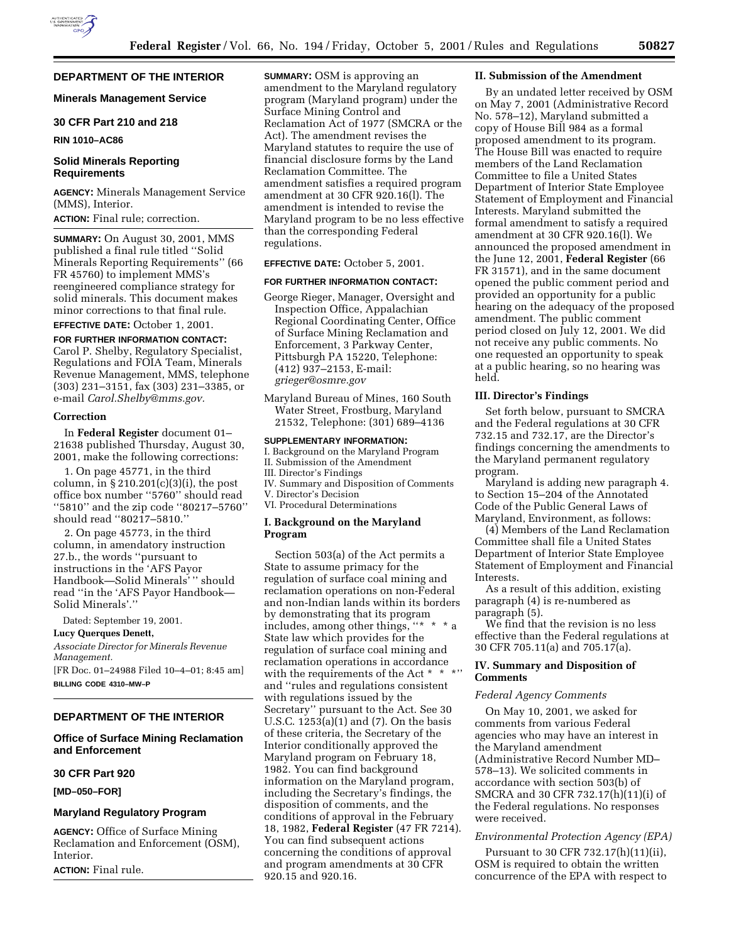# **DEPARTMENT OF THE INTERIOR**

## **Minerals Management Service**

# **30 CFR Part 210 and 218**

#### **RIN 1010–AC86**

## **Solid Minerals Reporting Requirements**

**AGENCY:** Minerals Management Service (MMS), Interior. **ACTION:** Final rule; correction.

**SUMMARY:** On August 30, 2001, MMS published a final rule titled ''Solid Minerals Reporting Requirements'' (66 FR 45760) to implement MMS's reengineered compliance strategy for solid minerals. This document makes minor corrections to that final rule.

# **EFFECTIVE DATE:** October 1, 2001.

**FOR FURTHER INFORMATION CONTACT:** Carol P. Shelby, Regulatory Specialist, Regulations and FOIA Team, Minerals Revenue Management, MMS, telephone (303) 231–3151, fax (303) 231–3385, or e-mail *Carol.Shelby@mms.gov.*

#### **Correction**

In **Federal Register** document 01– 21638 published Thursday, August 30, 2001, make the following corrections:

1. On page 45771, in the third column, in  $\S 210.201(c)(3)(i)$ , the post office box number ''5760'' should read ''5810'' and the zip code ''80217–5760'' should read ''80217–5810.''

2. On page 45773, in the third column, in amendatory instruction 27.b., the words ''pursuant to instructions in the 'AFS Payor Handbook—Solid Minerals'" should read ''in the 'AFS Payor Handbook— Solid Minerals'.''

Dated: September 19, 2001.

### **Lucy Querques Denett,**

*Associate Director for Minerals Revenue Management.* [FR Doc. 01–24988 Filed 10–4–01; 8:45 am]

**BILLING CODE 4310–MW–P**

# **DEPARTMENT OF THE INTERIOR**

# **Office of Surface Mining Reclamation and Enforcement**

# **30 CFR Part 920**

**[MD–050–FOR]**

## **Maryland Regulatory Program**

**AGENCY:** Office of Surface Mining Reclamation and Enforcement (OSM), Interior.

**ACTION:** Final rule.

**SUMMARY:** OSM is approving an amendment to the Maryland regulatory program (Maryland program) under the Surface Mining Control and Reclamation Act of 1977 (SMCRA or the Act). The amendment revises the Maryland statutes to require the use of financial disclosure forms by the Land Reclamation Committee. The amendment satisfies a required program amendment at 30 CFR 920.16(l). The amendment is intended to revise the Maryland program to be no less effective than the corresponding Federal regulations.

### **EFFECTIVE DATE:** October 5, 2001.

## **FOR FURTHER INFORMATION CONTACT:**

- George Rieger, Manager, Oversight and Inspection Office, Appalachian Regional Coordinating Center, Office of Surface Mining Reclamation and Enforcement, 3 Parkway Center, Pittsburgh PA 15220, Telephone: (412) 937–2153, E-mail: *grieger@osmre.gov*
- Maryland Bureau of Mines, 160 South Water Street, Frostburg, Maryland 21532, Telephone: (301) 689–4136

### **SUPPLEMENTARY INFORMATION:**

I. Background on the Maryland Program II. Submission of the Amendment III. Director's Findings IV. Summary and Disposition of Comments V. Director's Decision

VI. Procedural Determinations

# **I. Background on the Maryland Program**

Section 503(a) of the Act permits a State to assume primacy for the regulation of surface coal mining and reclamation operations on non-Federal and non-Indian lands within its borders by demonstrating that its program includes, among other things, "\* State law which provides for the regulation of surface coal mining and reclamation operations in accordance with the requirements of the Act \* \* \*'' and ''rules and regulations consistent with regulations issued by the Secretary'' pursuant to the Act. See 30 U.S.C. 1253(a)(1) and (7). On the basis of these criteria, the Secretary of the Interior conditionally approved the Maryland program on February 18, 1982. You can find background information on the Maryland program, including the Secretary's findings, the disposition of comments, and the conditions of approval in the February 18, 1982, **Federal Register** (47 FR 7214). You can find subsequent actions concerning the conditions of approval and program amendments at 30 CFR 920.15 and 920.16.

#### **II. Submission of the Amendment**

By an undated letter received by OSM on May 7, 2001 (Administrative Record No. 578–12), Maryland submitted a copy of House Bill 984 as a formal proposed amendment to its program. The House Bill was enacted to require members of the Land Reclamation Committee to file a United States Department of Interior State Employee Statement of Employment and Financial Interests. Maryland submitted the formal amendment to satisfy a required amendment at 30 CFR 920.16(l). We announced the proposed amendment in the June 12, 2001, **Federal Register** (66 FR 31571), and in the same document opened the public comment period and provided an opportunity for a public hearing on the adequacy of the proposed amendment. The public comment period closed on July 12, 2001. We did not receive any public comments. No one requested an opportunity to speak at a public hearing, so no hearing was held.

## **III. Director's Findings**

Set forth below, pursuant to SMCRA and the Federal regulations at 30 CFR 732.15 and 732.17, are the Director's findings concerning the amendments to the Maryland permanent regulatory program.

Maryland is adding new paragraph 4. to Section 15–204 of the Annotated Code of the Public General Laws of Maryland, Environment, as follows:

(4) Members of the Land Reclamation Committee shall file a United States Department of Interior State Employee Statement of Employment and Financial Interests.

As a result of this addition, existing paragraph (4) is re-numbered as paragraph (5).

We find that the revision is no less effective than the Federal regulations at 30 CFR 705.11(a) and 705.17(a).

# **IV. Summary and Disposition of Comments**

#### *Federal Agency Comments*

On May 10, 2001, we asked for comments from various Federal agencies who may have an interest in the Maryland amendment (Administrative Record Number MD– 578–13). We solicited comments in accordance with section 503(b) of SMCRA and 30 CFR 732.17(h)(11)(i) of the Federal regulations. No responses were received.

# *Environmental Protection Agency (EPA)*

Pursuant to 30 CFR 732.17(h)(11)(ii), OSM is required to obtain the written concurrence of the EPA with respect to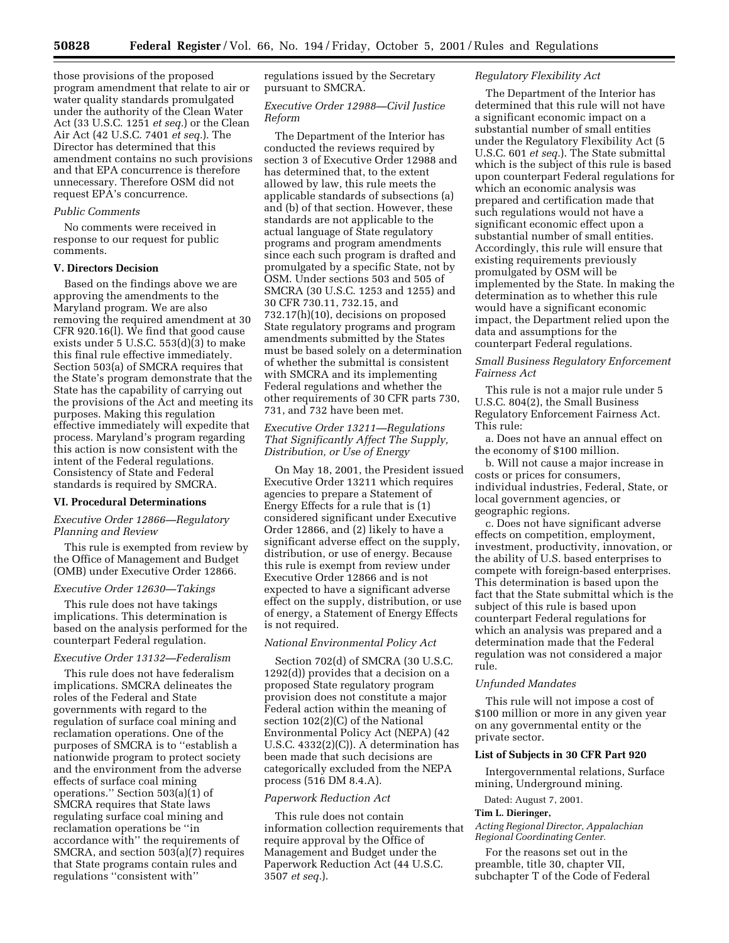those provisions of the proposed program amendment that relate to air or water quality standards promulgated under the authority of the Clean Water Act (33 U.S.C. 1251 *et seq.*) or the Clean Air Act (42 U.S.C. 7401 *et seq.*). The Director has determined that this amendment contains no such provisions and that EPA concurrence is therefore unnecessary. Therefore OSM did not request EPA's concurrence.

### *Public Comments*

No comments were received in response to our request for public comments.

### **V. Directors Decision**

Based on the findings above we are approving the amendments to the Maryland program. We are also removing the required amendment at 30 CFR 920.16(l). We find that good cause exists under 5 U.S.C. 553(d)(3) to make this final rule effective immediately. Section 503(a) of SMCRA requires that the State's program demonstrate that the State has the capability of carrying out the provisions of the Act and meeting its purposes. Making this regulation effective immediately will expedite that process. Maryland's program regarding this action is now consistent with the intent of the Federal regulations. Consistency of State and Federal standards is required by SMCRA.

### **VI. Procedural Determinations**

# *Executive Order 12866—Regulatory Planning and Review*

This rule is exempted from review by the Office of Management and Budget (OMB) under Executive Order 12866.

### *Executive Order 12630—Takings*

This rule does not have takings implications. This determination is based on the analysis performed for the counterpart Federal regulation.

# *Executive Order 13132—Federalism*

This rule does not have federalism implications. SMCRA delineates the roles of the Federal and State governments with regard to the regulation of surface coal mining and reclamation operations. One of the purposes of SMCRA is to ''establish a nationwide program to protect society and the environment from the adverse effects of surface coal mining operations." Section  $503(a)(1)$  of SMCRA requires that State laws regulating surface coal mining and reclamation operations be ''in accordance with'' the requirements of SMCRA, and section 503(a)(7) requires that State programs contain rules and regulations ''consistent with''

regulations issued by the Secretary pursuant to SMCRA.

## *Executive Order 12988—Civil Justice Reform*

The Department of the Interior has conducted the reviews required by section 3 of Executive Order 12988 and has determined that, to the extent allowed by law, this rule meets the applicable standards of subsections (a) and (b) of that section. However, these standards are not applicable to the actual language of State regulatory programs and program amendments since each such program is drafted and promulgated by a specific State, not by OSM. Under sections 503 and 505 of SMCRA (30 U.S.C. 1253 and 1255) and 30 CFR 730.11, 732.15, and 732.17(h)(10), decisions on proposed State regulatory programs and program amendments submitted by the States must be based solely on a determination of whether the submittal is consistent with SMCRA and its implementing Federal regulations and whether the other requirements of 30 CFR parts 730, 731, and 732 have been met.

# *Executive Order 13211—Regulations That Significantly Affect The Supply, Distribution, or Use of Energy*

On May 18, 2001, the President issued Executive Order 13211 which requires agencies to prepare a Statement of Energy Effects for a rule that is (1) considered significant under Executive Order 12866, and (2) likely to have a significant adverse effect on the supply, distribution, or use of energy. Because this rule is exempt from review under Executive Order 12866 and is not expected to have a significant adverse effect on the supply, distribution, or use of energy, a Statement of Energy Effects is not required.

## *National Environmental Policy Act*

Section 702(d) of SMCRA (30 U.S.C. 1292(d)) provides that a decision on a proposed State regulatory program provision does not constitute a major Federal action within the meaning of section 102(2)(C) of the National Environmental Policy Act (NEPA) (42 U.S.C. 4332(2)(C)). A determination has been made that such decisions are categorically excluded from the NEPA process (516 DM 8.4.A).

### *Paperwork Reduction Act*

This rule does not contain information collection requirements that require approval by the Office of Management and Budget under the Paperwork Reduction Act (44 U.S.C. 3507 *et seq.*).

## *Regulatory Flexibility Act*

The Department of the Interior has determined that this rule will not have a significant economic impact on a substantial number of small entities under the Regulatory Flexibility Act (5 U.S.C. 601 *et seq.*). The State submittal which is the subject of this rule is based upon counterpart Federal regulations for which an economic analysis was prepared and certification made that such regulations would not have a significant economic effect upon a substantial number of small entities. Accordingly, this rule will ensure that existing requirements previously promulgated by OSM will be implemented by the State. In making the determination as to whether this rule would have a significant economic impact, the Department relied upon the data and assumptions for the counterpart Federal regulations.

*Small Business Regulatory Enforcement Fairness Act*

This rule is not a major rule under 5 U.S.C. 804(2), the Small Business Regulatory Enforcement Fairness Act. This rule:

a. Does not have an annual effect on the economy of \$100 million.

b. Will not cause a major increase in costs or prices for consumers, individual industries, Federal, State, or local government agencies, or geographic regions.

c. Does not have significant adverse effects on competition, employment, investment, productivity, innovation, or the ability of U.S. based enterprises to compete with foreign-based enterprises. This determination is based upon the fact that the State submittal which is the subject of this rule is based upon counterpart Federal regulations for which an analysis was prepared and a determination made that the Federal regulation was not considered a major rule.

#### *Unfunded Mandates*

This rule will not impose a cost of \$100 million or more in any given year on any governmental entity or the private sector.

#### **List of Subjects in 30 CFR Part 920**

Intergovernmental relations, Surface mining, Underground mining.

Dated: August 7, 2001.

#### **Tim L. Dieringer,**

*Acting Regional Director, Appalachian Regional Coordinating Center.*

For the reasons set out in the preamble, title 30, chapter VII, subchapter T of the Code of Federal